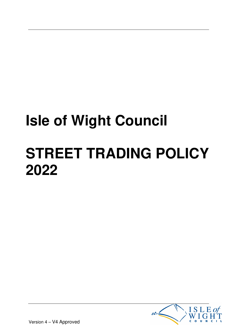# **Isle of Wight Council STREET TRADING POLICY 2022**



Version 4 – V4 Approved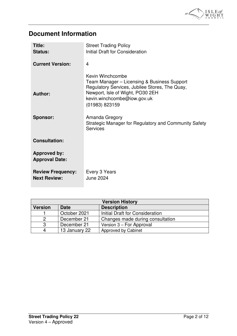

# **Document Information**

| Title:<br><b>Status:</b>                        | <b>Street Trading Policy</b><br>Initial Draft for Consideration                                                                                                                                                                                                                   |
|-------------------------------------------------|-----------------------------------------------------------------------------------------------------------------------------------------------------------------------------------------------------------------------------------------------------------------------------------|
| <b>Current Version:</b>                         | 4                                                                                                                                                                                                                                                                                 |
| Author:<br><b>Sponsor:</b>                      | Kevin Winchcombe<br>Team Manager - Licensing & Business Support<br>Regulatory Services, Jubilee Stores, The Quay,<br>Newport, Isle of Wight, PO30 2EH<br>kevin.winchcombe@iow.gov.uk<br>(01983) 823159<br>Amanda Gregory<br>Strategic Manager for Regulatory and Community Safety |
|                                                 | <b>Services</b>                                                                                                                                                                                                                                                                   |
| <b>Consultation:</b>                            |                                                                                                                                                                                                                                                                                   |
| <b>Approved by:</b><br><b>Approval Date:</b>    |                                                                                                                                                                                                                                                                                   |
| <b>Review Frequency:</b><br><b>Next Review:</b> | Every 3 Years<br><b>June 2024</b>                                                                                                                                                                                                                                                 |

| <b>Version History</b> |               |                                  |  |  |
|------------------------|---------------|----------------------------------|--|--|
| <b>Version</b>         | <b>Date</b>   | <b>Description</b>               |  |  |
|                        | October 2021  | Initial Draft for Consideration  |  |  |
|                        | December 21   | Changes made during consultation |  |  |
| 3                      | December 21   | Version 3 – For Approval         |  |  |
|                        | 13 January 22 | Approved by Cabinet              |  |  |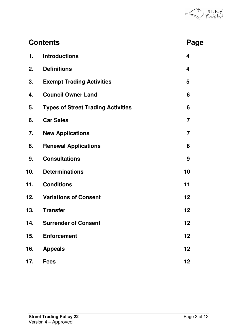

| <b>Contents</b> |                                           |                |
|-----------------|-------------------------------------------|----------------|
| 1.              | <b>Introductions</b>                      | 4              |
| 2.              | <b>Definitions</b>                        | 4              |
| 3.              | <b>Exempt Trading Activities</b>          | 5              |
| 4.              | <b>Council Owner Land</b>                 | 6              |
| 5.              | <b>Types of Street Trading Activities</b> | 6              |
| 6.              | <b>Car Sales</b>                          | $\overline{7}$ |
| 7.              | <b>New Applications</b>                   | $\overline{7}$ |
| 8.              | <b>Renewal Applications</b>               | 8              |
| 9.              | <b>Consultations</b>                      | 9              |
| 10.             | <b>Determinations</b>                     | 10             |
| 11.             | <b>Conditions</b>                         | 11             |
| 12.             | <b>Variations of Consent</b>              | 12             |
| 13.             | <b>Transfer</b>                           | 12             |
| 14.             | <b>Surrender of Consent</b>               | 12             |
| 15.             | <b>Enforcement</b>                        | 12             |
| 16.             | <b>Appeals</b>                            | 12             |
| 17.             | <b>Fees</b>                               | 12             |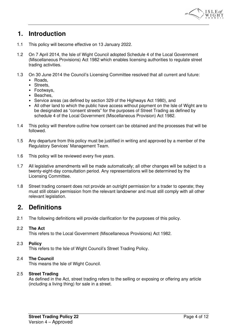

# **1. Introduction**

- 1.1 This policy will become effective on 13 January 2022.
- 1.2 On 7 April 2014, the Isle of Wight Council adopted Schedule 4 of the Local Government (Miscellaneous Provisions) Act 1982 which enables licensing authorities to regulate street trading activities.
- 1.3 On 30 June 2014 the Council's Licensing Committee resolved that all current and future:
	- Roads,
	- Streets,
	- Footways,
	- Beaches,
	- Service areas (as defined by section 329 of the Highways Act 1980), and
	- All other land to which the public have access without payment on the Isle of Wight are to be designated as "consent streets" for the purposes of Street Trading as defined by schedule 4 of the Local Government (Miscellaneous Provision) Act 1982.
- 1.4 This policy will therefore outline how consent can be obtained and the processes that will be followed.
- 1.5 Any departure from this policy must be justified in writing and approved by a member of the Regulatory Services' Management Team.
- 1.6 This policy will be reviewed every five years.
- 1.7 All legislative amendments will be made automatically; all other changes will be subject to a twenty-eight-day consultation period. Any representations will be determined by the Licensing Committee.
- 1.8 Street trading consent does not provide an outright permission for a trader to operate; they must still obtain permission from the relevant landowner and must still comply with all other relevant legislation.

## **2. Definitions**

2.1 The following definitions will provide clarification for the purposes of this policy.

## 2.2 **The Act**

This refers to the Local Government (Miscellaneous Provisions) Act 1982.

## 2.3 **Policy**

This refers to the Isle of Wight Council's Street Trading Policy.

## 2.4 **The Council**

This means the Isle of Wight Council.

## 2.5 **Street Trading**

As defined in the Act, street trading refers to the selling or exposing or offering any article (including a living thing) for sale in a street.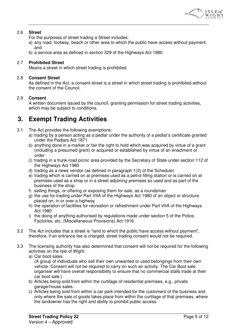

## 2.6 **Street**

For the purposes of street trading a Street includes:

- a) any road, footway, beach or other area to which the public have access without payment; and
- b) a service area as defined in section 329 of the Highways Act 1980.

## 2.7 **Prohibited Street**

Means a street in which street trading is prohibited.

#### 2.8 **Consent Street**

As defined in the Act, a consent street is a street in which street trading is prohibited without the consent of the Council.

## 2.9 **Consent**

A written document issued by the council, granting permission for street trading activities, which may be subject to conditions.

## **3. Exempt Trading Activities**

- 3.1 The Act provides the following exemptions:
	- a) trading by a person acting as a pedlar under the authority of a pedlar's certificate granted under the Pedlars Act 1871
	- b) anything done in a market or fair the right to hold which was acquired by virtue of a grant (including a presumed grant) or acquired or established by virtue of an enactment or order
	- c) trading in a trunk road picnic area provided by the Secretary of State under section 112 of the Highways Act 1980
	- d) trading as a news vendor (as defined in paragraph 1(3) of the Schedule)
	- e) trading which is carried on at premises used as a petrol filling station or is carried on at premises used as a shop or in a street adjoining premises so used and as part of the business of the shop
	- f) selling things, or offering or exposing them for sale, as a roundsman
	- g) the use for trading under Part VIIA of the Highways Act 1980 of an object or structure placed on, in or over a highway
	- h) the operation of facilities for recreation or refreshment under Part VIIA of the Highways Act 1980
	- i) the doing of anything authorised by regulations made under section 5 of the Police, Factories, etc. (Miscellaneous Provisions) Act 1916.
- 3.2 The Act includes that a street is "land to which the public have access without payment", therefore, if an entrance fee is charged, street trading consent would not be required.
- 3.3 The licensing authority has also determined that consent will not be required for the following activities on the Isle of Wight:
	- a) Car boot sales

(A group of individuals who sell their own unwanted or used belongings from their own vehicle. Consent will not be required to carry on such an activity. The Car Boot sale organiser will have overall responsibility to ensure that no commercial stalls trade at their car boot sale.)

- b) Articles being sold from within the curtilage of residential premises, e.g., private garage/house sales.
- c) Articles being sold from within a car park intended for the customers of the business and only where the sale of goods takes place from within the curtilage of that premises, where the landowner has the right and ability to prohibit public access.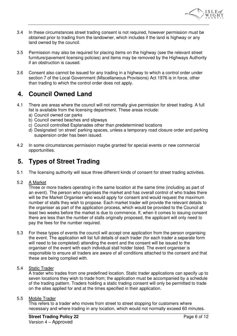

- 3.4 In these circumstances street trading consent is not required, however permission must be obtained prior to trading from the landowner, which includes if the land is highway or any land owned by the council.
- 3.5 Permission may also be required for placing items on the highway (see the relevant street furniture/pavement licensing policies) and items may be removed by the Highways Authority if an obstruction is caused.
- 3.6 Consent also cannot be issued for any trading in a highway to which a control order under section 7 of the Local Government (Miscellaneous Provisions) Act 1976 is in force, other than trading to which the control order does not apply.

# **4. Council Owned Land**

- 4.1 There are areas where the council will not normally give permission for street trading. A full list is available from the licensing department. These areas include:
	- a) Council owned car parks
	- b) Council owned beaches and slipways
	- c) Council controlled Esplanades other than predetermined locations
	- d) Designated 'on street' parking spaces, unless a temporary road closure order and parking suspension order has been issued.
- 4.2 In some circumstances permission maybe granted for special events or new commercial opportunities.

# **5. Types of Street Trading**

5.1 The licensing authority will issue three different kinds of consent for street trading activities.

## 5.2 A Market

Three or more traders operating in the same location at the same time (including as part of an event). The person who organises the market and has overall control of who trades there will be the Market Organiser who would apply for consent and would request the maximum number of stalls they wish to propose. Each market trader will provide the relevant details to the organiser as part of the application process, which would be provided to the Council at least two weeks before the market is due to commence. If, when it comes to issuing consent there are less than the number of stalls originally proposed, the applicant will only need to pay the fees for the number required.

- 5.3 For these types of events the council will accept one application from the person organising the event. The application will list full details of each trader (for each trader a separate form will need to be completed) attending the event and the consent will be issued to the organiser of the event with each individual stall holder listed. The event organiser is responsible to ensure all traders are aware of all conditions attached to the consent and that these are being complied with.
- 5.4 Static Trader

A trader who trades from one predefined location. Static trader applications can specify up to seven locations they wish to trade from; the application must be accompanied by a schedule of the trading pattern. Traders holding a static trading consent will only be permitted to trade on the sites applied for and at the times specified in their application.

## 5.5 Mobile Trader

This refers to a trader who moves from street to street stopping for customers where necessary and where trading in any location, which would not normally exceed 60 minutes.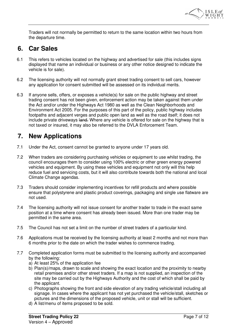

Traders will not normally be permitted to return to the same location within two hours from the departure time.

# **6. Car Sales**

- 6.1 This refers to vehicles located on the highway and advertised for sale (this includes signs displayed that name an individual or business or any other notice designed to indicate the vehicle is for sale).
- 6.2 The licensing authority will not normally grant street trading consent to sell cars, however any application for consent submitted will be assessed on its individual merits.
- 6.3 If anyone sells, offers, or exposes a vehicle(s) for sale on the public highway and street trading consent has not been given, enforcement action may be taken against them under the Act and/or under the Highways Act 1980 as well as the Clean Neighborhoods and Environment Act 2005. For the purposes of this part of the policy, public highway includes footpaths and adjacent verges and public open land as well as the road itself; it does not include private driveways land. Where any vehicle is offered for sale on the highway that is not taxed or insured, it may also be referred to the DVLA Enforcement Team.

# **7. New Applications**

- 7.1 Under the Act, consent cannot be granted to anyone under 17 years old.
- 7.2 When traders are considering purchasing vehicles or equipment to use whilst trading, the council encourages them to consider using 100% electric or other green energy powered vehicles and equipment. By using these vehicles and equipment not only will this help reduce fuel and servicing costs, but it will also contribute towards both the national and local Climate Change agendas.
- 7.3 Traders should consider implementing incentives for refill products and where possible ensure that polystyrene and plastic product coverings, packaging and single use flatware are not used.
- 7.4 The licensing authority will not issue consent for another trader to trade in the exact same position at a time where consent has already been issued. More than one trader may be permitted in the same area.
- 7.5 The Council has not set a limit on the number of street traders of a particular kind.
- 7.6 Applications must be received by the licensing authority at least 2 months and not more than 6 months prior to the date on which the trader wishes to commence trading.
- 7.7 Completed application forms must be submitted to the licensing authority and accompanied by the following:
	- a) At least 25% of the application fee
	- b) Plan(s)/maps, drawn to scale and showing the exact location and the proximity to nearby retail premises and/or other street traders. If a map is not supplied, an inspection of the site may be carried out by the Highways Authority and the cost of which shall be paid by the applicant.
	- c) Photographs showing the front and side elevation of any trading vehicle/stall including all signage. In cases where the applicant has not yet purchased the vehicle/stall, sketches or pictures and the dimensions of the proposed vehicle, unit or stall will be sufficient.
	- d) A list/menu of items proposed to be sold.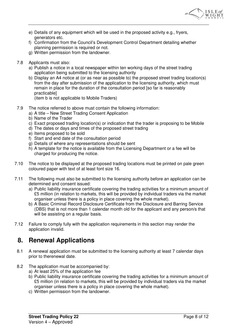

- e) Details of any equipment which will be used in the proposed activity e.g., fryers, generators etc.
- f) Confirmation from the Council's Development Control Department detailing whether planning permission is required or not.
- g) Written permission from the landowner.
- 7.8 Applicants must also:
	- a) Publish a notice in a local newspaper within ten working days of the street trading application being submitted to the licensing authority
	- b) Display an A4 notice at (or as near as possible to) the proposed street trading location(s) from the day after submission of the application to the licensing authority, which must remain in place for the duration of the consultation period [so far is reasonably practicable]

(item b is not applicable to Mobile Traders)

- 7.9 The notice referred to above must contain the following information:
	- a) A title New Street Trading Consent Application
	- b) Name of the Trader
	- c) Exact proposed trading location(s) or indication that the trader is proposing to be Mobile
	- d) The dates or days and times of the proposed street trading
	- e) Items proposed to be sold
	- f) Start and end date of the consultation period
	- g) Details of where any representations should be sent
	- h) A template for the notice is available from the Licensing Department or a fee will be charged for producing the notice.
- 7.10 The notice to be displayed at the proposed trading locations must be printed on pale green coloured paper with text of at least font size 16.
- 7.11 The following must also be submitted to the licensing authority before an application can be determined and consent issued:
	- a) Public liability insurance certificate covering the trading activities for a minimum amount of £5 million (in relation to markets, this will be provided by individual traders via the market organiser unless there is a policy in place covering the whole market).
	- b) A Basic Criminal Record Disclosure Certificate from the Disclosure and Barring Service (DBS) that is not more than 1 calendar month old for the applicant and any person/s that will be assisting on a regular basis.
- 7.12 Failure to comply fully with the application requirements in this section may render the application invalid.

# **8. Renewal Applications**

- 8.1 A renewal application must be submitted to the licensing authority at least 7 calendar days prior to therenewal date.
- 8.2 The application must be accompanied by:
	- a) At least 25% of the application fee
	- b) Public liability insurance certificate covering the trading activities for a minimum amount of £5 million (in relation to markets, this will be provided by individual traders via the market organiser unless there is a policy in place covering the whole market).
	- c) Written permission from the landowner.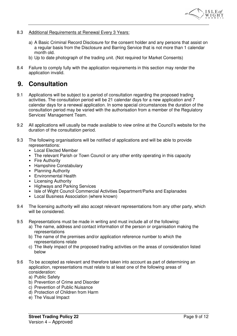

- 8.3 Additional Requirements at Renewal Every 3 Years:
	- a) A Basic Criminal Record Disclosure for the consent holder and any persons that assist on a regular basis from the Disclosure and Barring Service that is not more than 1 calendar month old.
	- b) Up to date photograph of the trading unit. (Not required for Market Consents)
- 8.4 Failure to comply fully with the application requirements in this section may render the application invalid.

## **9. Consultation**

- 9.1 Applications will be subject to a period of consultation regarding the proposed trading activities. The consultation period will be 21 calendar days for a new application and 7 calendar days for a renewal application. In some special circumstances the duration of the consultation period may be varied with the authorisation from a member of the Regulatory Services' Management Team.
- 9.2 All applications will usually be made available to view online at the Council's website for the duration of the consultation period.
- 9.3 The following organisations will be notified of applications and will be able to provide representations:
	- Local Elected Member
	- The relevant Parish or Town Council or any other entity operating in this capacity
	- Fire Authority
	- Hampshire Constabulary
	- Planning Authority
	- Environmental Health
	- Licensing Authority
	- Highways and Parking Services
	- Isle of Wight Council Commercial Activities Department/Parks and Esplanades
	- Local Business Association (where known)
- 9.4 The licensing authority will also accept relevant representations from any other party, which will be considered.
- 9.5 Representations must be made in writing and must include all of the following:
	- a) The name, address and contact information of the person or organisation making the representations
	- b) The name of the premises and/or application reference number to which the representations relate
	- c) The likely impact of the proposed trading activities on the areas of consideration listed below
- 9.6 To be accepted as relevant and therefore taken into account as part of determining an application, representations must relate to at least one of the following areas of consideration:
	- a) Public Safety
	- b) Prevention of Crime and Disorder
	- c) Prevention of Public Nuisance
	- d) Protection of Children from Harm
	- e) The Visual Impact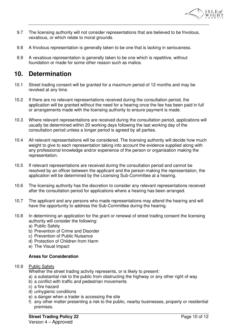

- 9.7 The licensing authority will not consider representations that are believed to be frivolous, vexatious, or which relate to moral grounds.
- 9.8 A frivolous representation is generally taken to be one that is lacking in seriousness.
- 9.9 A vexatious representation is generally taken to be one which is repetitive, without foundation or made for some other reason such as malice.

# **10. Determination**

- 10.1 Street trading consent will be granted for a maximum period of 12 months and may be revoked at any time.
- 10.2 If there are no relevant representations received during the consultation period, the application will be granted without the need for a hearing once the fee has been paid in full or arrangements made with the licensing authority to ensure payment is made.
- 10.3 Where relevant representations are received during the consultation period, applications will usually be determined within 20 working days following the last working day of the consultation period unless a longer period is agreed by all parties.
- 10.4 All relevant representations will be considered. The licensing authority will decide how much weight to give to each representation taking into account the evidence supplied along with any professional knowledge and/or experience of the person or organisation making the representation.
- 10.5 If relevant representations are received during the consultation period and cannot be resolved by an officer between the applicant and the person making the representation, the application will be determined by the Licensing Sub-Committee at a hearing.
- 10.6 The licensing authority has the discretion to consider any relevant representations received after the consultation period for applications where a hearing has been arranged.
- 10.7 The applicant and any persons who made representations may attend the hearing and will have the opportunity to address the Sub-Committee during the hearing.
- 10.8 In determining an application for the grant or renewal of street trading consent the licensing authority will consider the following:
	- a) Public Safety
	- b) Prevention of Crime and Disorder
	- c) Prevention of Public Nuisance
	- d) Protection of Children from Harm
	- e) The Visual Impact

## **Areas for Consideration**

## 10.9 Public Safety

Whether the street trading activity represents, or is likely to present:

- a) a substantial risk to the public from obstructing the highway or any other right of way
- b) a conflict with traffic and pedestrian movements
- c) a fire hazard
- d) unhygienic conditions
- e) a danger when a trader is accessing the site
- f) any other matter presenting a risk to the public, nearby businesses, property or residential premises.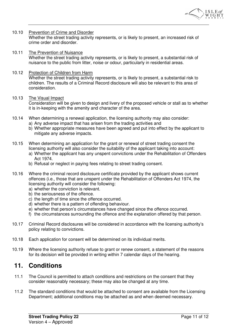

#### 10.10 Prevention of Crime and Disorder

Whether the street trading activity represents, or is likely to present, an increased risk of crime order and disorder.

10.11 The Prevention of Nuisance Whether the street trading activity represents, or is likely to present, a substantial risk of nuisance to the public from litter, noise or odour, particularly in residential areas.

#### 10.12 Protection of Children from Harm Whether the street trading activity represents, or is likely to present, a substantial risk to children. The results of a Criminal Record disclosure will also be relevant to this area of consideration.

#### 10.13 The Visual Impact

Consideration will be given to design and livery of the proposed vehicle or stall as to whether it is in-keeping with the amenity and character of the area.

- 10.14 When determining a renewal application, the licensing authority may also consider:
	- a) Any adverse impact that has arisen from the trading activities and
		- b) Whether appropriate measures have been agreed and put into effect by the applicant to mitigate any adverse impacts.
- 10.15 When determining an application for the grant or renewal of street trading consent the licensing authority will also consider the suitability of the applicant taking into account:
	- a) Whether the applicant has any unspent convictions under the Rehabilitation of Offenders Act 1974.
	- b) Refusal or neglect in paying fees relating to street trading consent.
- 10.16 Where the criminal record disclosure certificate provided by the applicant shows current offences (i.e., those that are unspent under the Rehabilitation of Offenders Act 1974, the licensing authority will consider the following:
	- a) whether the conviction is relevant.
	- b) the seriousness of the offence.
	- c) the length of time since the offence occurred.
	- d) whether there is a pattern of offending behaviour.
	- e) whether that person's circumstances have changed since the offence occurred.
	- f) the circumstances surrounding the offence and the explanation offered by that person.
- 10.17 Criminal Record disclosures will be considered in accordance with the licensing authority's policy relating to convictions.
- 10.18 Each application for consent will be determined on its individual merits.
- 10.19 Where the licensing authority refuse to grant or renew consent, a statement of the reasons for its decision will be provided in writing within 7 calendar days of the hearing.

## **11. Conditions**

- 11.1 The Council is permitted to attach conditions and restrictions on the consent that they consider reasonably necessary; these may also be changed at any time.
- 11.2 The standard conditions that would be attached to consent are available from the Licensing Department; additional conditions may be attached as and when deemed necessary.